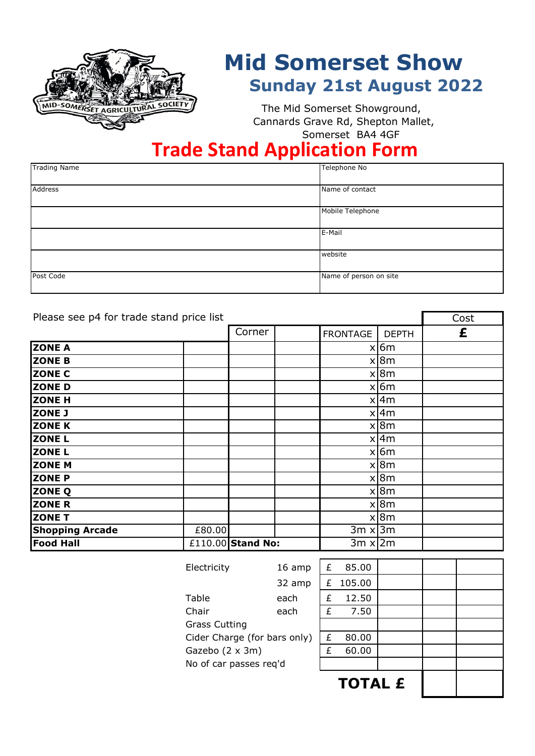

# **Mid Somerset Show Sunday 21st August 2022**

 Somerset BA4 4GF The Mid Somerset Showground, Cannards Grave Rd, Shepton Mallet,

### **Trade Stand Application Form**

| <b>Trading Name</b> | Telephone No           |
|---------------------|------------------------|
|                     |                        |
| Address             | Name of contact        |
|                     |                        |
|                     | Mobile Telephone       |
|                     |                        |
|                     | E-Mail                 |
|                     |                        |
|                     | website                |
|                     |                        |
| Post Code           | Name of person on site |
|                     |                        |

| Please see p4 for trade stand price list | Cost   |                   |                 |              |   |
|------------------------------------------|--------|-------------------|-----------------|--------------|---|
|                                          |        | Corner            | <b>FRONTAGE</b> | <b>DEPTH</b> | £ |
| <b>ZONE A</b>                            |        |                   |                 | $x \mid 6m$  |   |
| <b>ZONE B</b>                            |        |                   |                 | x 8m         |   |
| <b>ZONE C</b>                            |        |                   |                 | x 8m         |   |
| <b>ZONE D</b>                            |        |                   |                 | $x \mid 6m$  |   |
| <b>ZONE H</b>                            |        |                   |                 | $x$  4m      |   |
| <b>ZONE J</b>                            |        |                   |                 | $x$  4m      |   |
| <b>ZONE K</b>                            |        |                   |                 | x 8m         |   |
| <b>ZONE L</b>                            |        |                   |                 | $x$  4m      |   |
| <b>ZONE L</b>                            |        |                   |                 | $x \mid 6m$  |   |
| <b>ZONE M</b>                            |        |                   |                 | x 8m         |   |
| <b>ZONE P</b>                            |        |                   |                 | x 8m         |   |
| <b>ZONE Q</b>                            |        |                   |                 | x 8m         |   |
| <b>ZONE R</b>                            |        |                   |                 | x 8m         |   |
| <b>ZONE T</b>                            |        |                   |                 | x 8m         |   |
| <b>Shopping Arcade</b>                   | £80.00 |                   | $3m \times 3m$  |              |   |
| <b>Food Hall</b>                         |        | £110.00 Stand No: | $3m \times 2m$  |              |   |

| Electricity                  | 16 amp | £ | 85.00          |  |  |
|------------------------------|--------|---|----------------|--|--|
|                              | 32 amp | £ | 105.00         |  |  |
| Table                        | each   | £ | 12.50          |  |  |
| Chair                        | each   | £ | 7.50           |  |  |
| <b>Grass Cutting</b>         |        |   |                |  |  |
| Cider Charge (for bars only) |        | £ | 80.00          |  |  |
| Gazebo (2 x 3m)              |        | £ | 60.00          |  |  |
| No of car passes req'd       |        |   |                |  |  |
|                              |        |   | <b>TOTAL £</b> |  |  |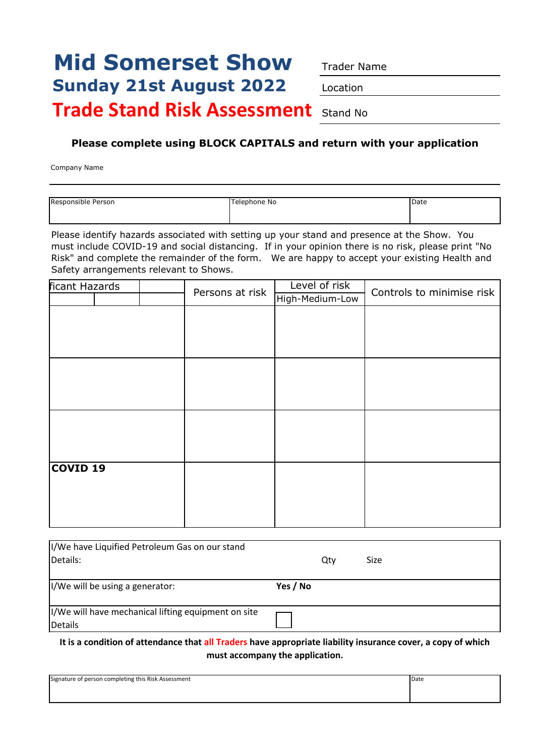## **Mid Somerset Show** Trader Name **Sunday 21st August 2022** Location **Trade Stand Risk Assessment** Stand No

#### **Please complete using BLOCK CAPITALS and return with your application**

Company Name

| Responsible Person | Telephone No | Date |
|--------------------|--------------|------|
|                    |              |      |
|                    |              |      |
|                    |              |      |

Please identify hazards associated with setting up your stand and presence at the Show. You must include COVID-19 and social distancing. If in your opinion there is no risk, please print "No Risk" and complete the remainder of the form. We are happy to accept your existing Health and Safety arrangements relevant to Shows.

| ficant Hazards  |  | Persons at risk | Level of risk   | Controls to minimise risk |  |
|-----------------|--|-----------------|-----------------|---------------------------|--|
|                 |  |                 | High-Medium-Low |                           |  |
|                 |  |                 |                 |                           |  |
|                 |  |                 |                 |                           |  |
|                 |  |                 |                 |                           |  |
|                 |  |                 |                 |                           |  |
|                 |  |                 |                 |                           |  |
|                 |  |                 |                 |                           |  |
|                 |  |                 |                 |                           |  |
|                 |  |                 |                 |                           |  |
|                 |  |                 |                 |                           |  |
|                 |  |                 |                 |                           |  |
|                 |  |                 |                 |                           |  |
| <b>COVID 19</b> |  |                 |                 |                           |  |
|                 |  |                 |                 |                           |  |
|                 |  |                 |                 |                           |  |
|                 |  |                 |                 |                           |  |
|                 |  |                 |                 |                           |  |

| II/We have Liquified Petroleum Gas on our stand      |          |     |      |
|------------------------------------------------------|----------|-----|------|
| Details:                                             |          | Qtv | Size |
|                                                      |          |     |      |
| I/We will be using a generator:                      | Yes / No |     |      |
|                                                      |          |     |      |
| II/We will have mechanical lifting equipment on site |          |     |      |
| Details                                              |          |     |      |

**It is a condition of attendance that all Traders have appropriate liability insurance cover, a copy of which must accompany the application.**

| Signature of person completing this Risk Assessment | Date |
|-----------------------------------------------------|------|
|                                                     |      |
|                                                     |      |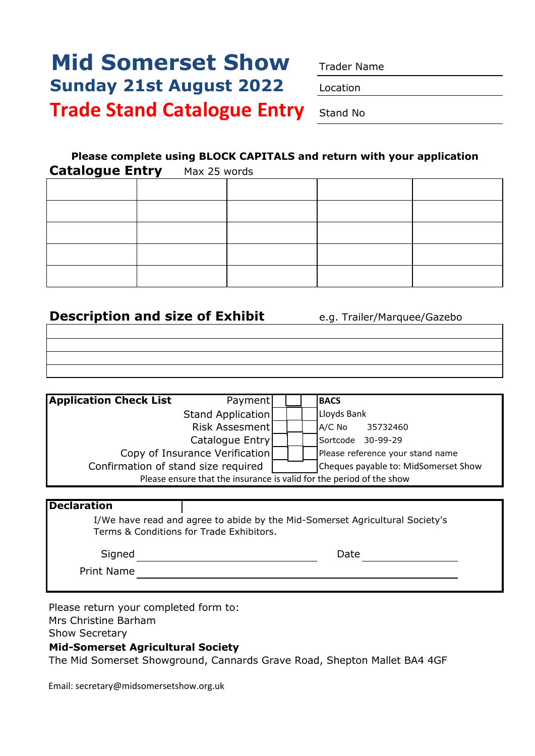# **Mid Somerset Show** Trader Name **Sunday 21st August 2022** Location **Trade Stand Catalogue Entry** Stand No

### **Please complete using BLOCK CAPITALS and return with your application**

| <b>Catalogue Entry</b> Max 25 words |  |  |
|-------------------------------------|--|--|
|                                     |  |  |
|                                     |  |  |
|                                     |  |  |
|                                     |  |  |
|                                     |  |  |

#### **Description and size of Exhibit** e.g. Trailer/Marquee/Gazebo

| <b>Application Check List</b>                                        | Payment                             |  |  |  | <b>BACS</b>                          |
|----------------------------------------------------------------------|-------------------------------------|--|--|--|--------------------------------------|
|                                                                      | Stand Application                   |  |  |  | Lloyds Bank                          |
|                                                                      | Risk Assesment                      |  |  |  | $A/C$ No<br>35732460                 |
|                                                                      | Catalogue Entry                     |  |  |  | Sortcode<br>30-99-29                 |
|                                                                      | Copy of Insurance Verification      |  |  |  | Please reference your stand name     |
|                                                                      | Confirmation of stand size required |  |  |  | Cheques payable to: MidSomerset Show |
| Please ensure that the insurance is valid for the period of the show |                                     |  |  |  |                                      |

| <b>Declaration</b>                       |                                                                              |
|------------------------------------------|------------------------------------------------------------------------------|
| Terms & Conditions for Trade Exhibitors. | I/We have read and agree to abide by the Mid-Somerset Agricultural Society's |
| Signed                                   | Date                                                                         |
| Print Name                               |                                                                              |

Please return your completed form to:

Mrs Christine Barham

Show Secretary

#### **Mid-Somerset Agricultural Society**

The Mid Somerset Showground, Cannards Grave Road, Shepton Mallet BA4 4GF

Email: secretary@midsomersetshow.org.uk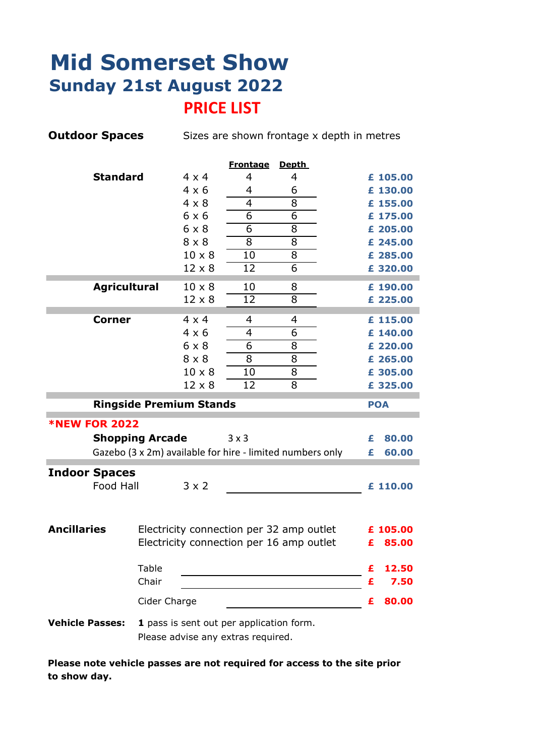### **Mid Somerset Show Sunday 21st August 2022 PRICE LIST**

| <b>Outdoor Spaces</b>  |                      |                                |               |                                          | Sizes are shown frontage x depth in metres                |   |            |
|------------------------|----------------------|--------------------------------|---------------|------------------------------------------|-----------------------------------------------------------|---|------------|
|                        |                      |                                |               | <b>Frontage</b>                          | <b>Depth</b>                                              |   |            |
|                        | <b>Standard</b>      |                                | $4 \times 4$  | 4                                        | 4                                                         |   | £ 105.00   |
|                        |                      |                                | $4 \times 6$  | 4                                        | 6                                                         |   | £ 130.00   |
|                        |                      |                                | $4 \times 8$  | 4                                        | 8                                                         |   | £ 155.00   |
|                        |                      |                                | 6x6           | 6                                        | $\overline{6}$                                            |   | £ 175.00   |
|                        |                      |                                | $6 \times 8$  | 6                                        | 8                                                         |   | £ 205.00   |
|                        |                      |                                | $8 \times 8$  | 8                                        | 8                                                         |   | £ 245.00   |
|                        |                      |                                | $10 \times 8$ | 10                                       | 8                                                         |   | £ 285.00   |
|                        |                      |                                | $12 \times 8$ | 12                                       | 6                                                         |   | £ 320.00   |
|                        | <b>Agricultural</b>  |                                | $10 \times 8$ | 10                                       | 8                                                         |   | £ 190.00   |
|                        |                      |                                | $12 \times 8$ | 12                                       | 8                                                         |   | £ 225.00   |
|                        | <b>Corner</b>        |                                | $4 \times 4$  | 4                                        | 4                                                         |   | £ 115.00   |
|                        |                      |                                | $4 \times 6$  | 4                                        | 6                                                         |   | £ 140.00   |
|                        |                      |                                | $6 \times 8$  | 6                                        | 8                                                         |   | £ 220.00   |
|                        |                      |                                | $8 \times 8$  | 8                                        | 8                                                         |   | £ 265.00   |
|                        |                      |                                | $10 \times 8$ | 10                                       | 8                                                         |   | £ 305.00   |
|                        |                      |                                | $12 \times 8$ | 12                                       | 8                                                         |   | £ 325.00   |
|                        |                      | <b>Ringside Premium Stands</b> |               |                                          |                                                           |   | <b>POA</b> |
|                        | <b>*NEW FOR 2022</b> |                                |               |                                          |                                                           |   |            |
|                        |                      | <b>Shopping Arcade</b>         |               | $3 \times 3$                             |                                                           | £ | 80.00      |
|                        |                      |                                |               |                                          | Gazebo (3 x 2m) available for hire - limited numbers only | £ | 60.00      |
|                        |                      |                                |               |                                          |                                                           |   |            |
| <b>Indoor Spaces</b>   | Food Hall            |                                | $3 \times 2$  |                                          |                                                           |   | £ 110.00   |
|                        |                      |                                |               |                                          |                                                           |   |            |
|                        |                      |                                |               |                                          |                                                           |   |            |
| <b>Ancillaries</b>     |                      |                                |               |                                          | Electricity connection per 32 amp outlet                  |   | £ 105.00   |
|                        |                      |                                |               |                                          | Electricity connection per 16 amp outlet                  | £ | 85.00      |
|                        |                      |                                |               |                                          |                                                           |   |            |
|                        |                      | Table                          |               |                                          |                                                           | £ | 12.50      |
|                        |                      | Chair                          |               |                                          |                                                           | £ | 7.50       |
|                        |                      | Cider Charge                   |               |                                          |                                                           | £ | 80.00      |
| <b>Vehicle Passes:</b> |                      |                                |               | 1 pass is sent out per application form. |                                                           |   |            |
|                        |                      |                                |               | Please advise any extras required.       |                                                           |   |            |

**Please note vehicle passes are not required for access to the site prior to show day.**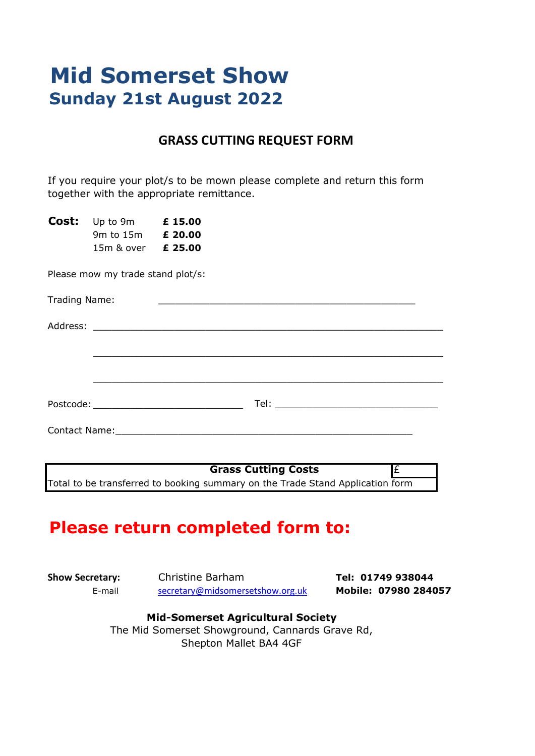# **Mid Somerset Show Sunday 21st August 2022**

#### **GRASS CUTTING REQUEST FORM**

If you require your plot/s to be mown please complete and return this form together with the appropriate remittance.

**Cost:** Up to 9m **£ 15.00** 9m to 15m **£ 20.00** 15m & over **£ 25.00**

Please mow my trade stand plot/s:

| Trading Name:        | and the control of the control of the control of the control of the control of the control of the control of the |  |
|----------------------|------------------------------------------------------------------------------------------------------------------|--|
|                      |                                                                                                                  |  |
|                      |                                                                                                                  |  |
|                      |                                                                                                                  |  |
|                      |                                                                                                                  |  |
| <b>Contact Name:</b> |                                                                                                                  |  |

**Grass Cutting Costs E** Total to be transferred to booking summary on the Trade Stand Application form

### **Please return completed form to:**

**Show Secretary:** Christine Barham **Tel: 01749 938044** E-mail [secretary@midsomersetshow.org.uk](mailto:secretary@midsomersetshow.org.uk) **Mobile: 07980 284057**

#### **Mid-Somerset Agricultural Society**

The Mid Somerset Showground, Cannards Grave Rd, Shepton Mallet BA4 4GF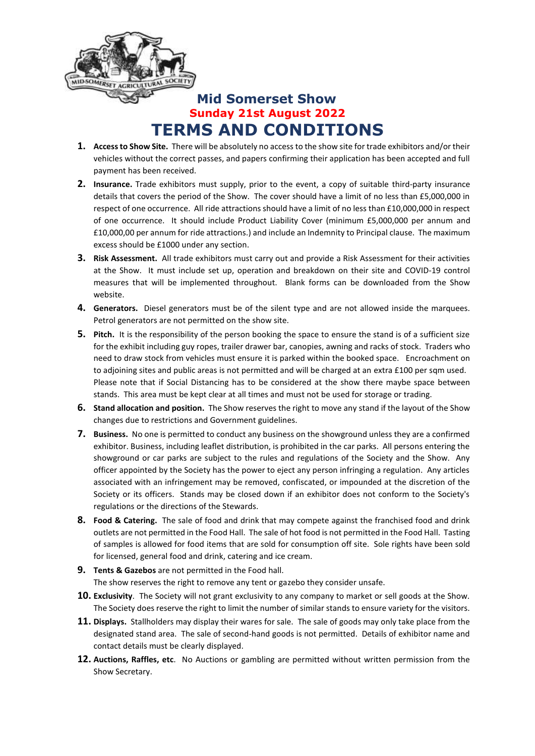

### **Mid Somerset Show Sunday 21st August 2022 TERMS AND CONDITIONS**

- **1. Access to Show Site.** There will be absolutely no access to the show site for trade exhibitors and/or their vehicles without the correct passes, and papers confirming their application has been accepted and full payment has been received.
- **2. Insurance.** Trade exhibitors must supply, prior to the event, a copy of suitable third-party insurance details that covers the period of the Show. The cover should have a limit of no less than £5,000,000 in respect of one occurrence. All ride attractions should have a limit of no less than £10,000,000 in respect of one occurrence. It should include Product Liability Cover (minimum £5,000,000 per annum and £10,000,00 per annum for ride attractions.) and include an Indemnity to Principal clause. The maximum excess should be £1000 under any section.
- **3. Risk Assessment.** All trade exhibitors must carry out and provide a Risk Assessment for their activities at the Show. It must include set up, operation and breakdown on their site and COVID-19 control measures that will be implemented throughout. Blank forms can be downloaded from the Show website.
- **4. Generators.** Diesel generators must be of the silent type and are not allowed inside the marquees. Petrol generators are not permitted on the show site.
- **5. Pitch.** It is the responsibility of the person booking the space to ensure the stand is of a sufficient size for the exhibit including guy ropes, trailer drawer bar, canopies, awning and racks of stock. Traders who need to draw stock from vehicles must ensure it is parked within the booked space. Encroachment on to adjoining sites and public areas is not permitted and will be charged at an extra £100 per sqm used. Please note that if Social Distancing has to be considered at the show there maybe space between stands. This area must be kept clear at all times and must not be used for storage or trading.
- **6. Stand allocation and position.** The Show reserves the right to move any stand if the layout of the Show changes due to restrictions and Government guidelines.
- **7. Business.** No one is permitted to conduct any business on the showground unless they are a confirmed exhibitor. Business, including leaflet distribution, is prohibited in the car parks. All persons entering the showground or car parks are subject to the rules and regulations of the Society and the Show. Any officer appointed by the Society has the power to eject any person infringing a regulation. Any articles associated with an infringement may be removed, confiscated, or impounded at the discretion of the Society or its officers. Stands may be closed down if an exhibitor does not conform to the Society's regulations or the directions of the Stewards.
- **8. Food & Catering.** The sale of food and drink that may compete against the franchised food and drink outlets are not permitted in the Food Hall. The sale of hot food is not permitted in the Food Hall. Tasting of samples is allowed for food items that are sold for consumption off site. Sole rights have been sold for licensed, general food and drink, catering and ice cream.
- **9. Tents & Gazebos** are not permitted in the Food hall. The show reserves the right to remove any tent or gazebo they consider unsafe.
- **10. Exclusivity**. The Society will not grant exclusivity to any company to market or sell goods at the Show. The Society does reserve the right to limit the number of similar stands to ensure variety for the visitors.
- **11. Displays.** Stallholders may display their wares for sale. The sale of goods may only take place from the designated stand area. The sale of second-hand goods is not permitted. Details of exhibitor name and contact details must be clearly displayed.
- **12. Auctions, Raffles, etc**. No Auctions or gambling are permitted without written permission from the Show Secretary.